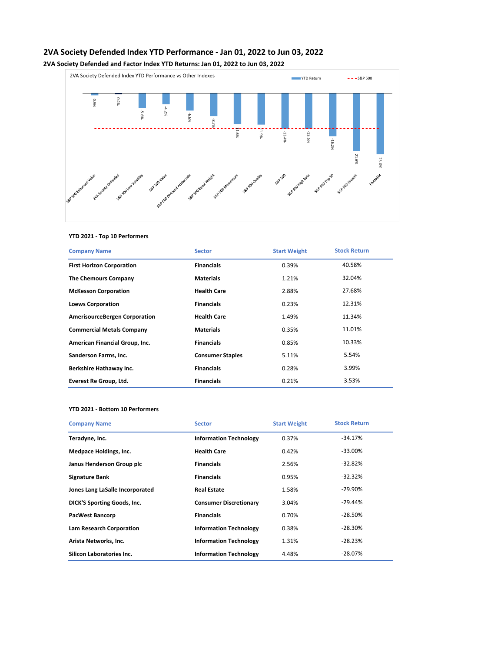# **2VA Society Defended Index YTD Performance - Jan 01, 2022 to Jun 03, 2022**

**2VA Society Defended and Factor Index YTD Returns: Jan 01, 2022 to Jun 03, 2022**



## **YTD 2021 - Top 10 Performers**

| <b>Company Name</b>                  | <b>Sector</b>           | <b>Start Weight</b> | <b>Stock Return</b> |
|--------------------------------------|-------------------------|---------------------|---------------------|
| <b>First Horizon Corporation</b>     | <b>Financials</b>       | 0.39%               | 40.58%              |
| <b>The Chemours Company</b>          | <b>Materials</b>        | 1.21%               | 32.04%              |
| <b>McKesson Corporation</b>          | <b>Health Care</b>      | 2.88%               | 27.68%              |
| <b>Loews Corporation</b>             | <b>Financials</b>       | 0.23%               | 12.31%              |
| <b>AmerisourceBergen Corporation</b> | <b>Health Care</b>      | 1.49%               | 11.34%              |
| <b>Commercial Metals Company</b>     | <b>Materials</b>        | 0.35%               | 11.01%              |
| American Financial Group, Inc.       | <b>Financials</b>       | 0.85%               | 10.33%              |
| Sanderson Farms, Inc.                | <b>Consumer Staples</b> | 5.11%               | 5.54%               |
| Berkshire Hathaway Inc.              | <b>Financials</b>       | 0.28%               | 3.99%               |
| Everest Re Group, Ltd.               | <b>Financials</b>       | 0.21%               | 3.53%               |

#### **YTD 2021 - Bottom 10 Performers**

| <b>Company Name</b>                | <b>Sector</b>                 | <b>Start Weight</b> | <b>Stock Return</b> |
|------------------------------------|-------------------------------|---------------------|---------------------|
| Teradyne, Inc.                     | <b>Information Technology</b> | 0.37%               | -34.17%             |
| Medpace Holdings, Inc.             | <b>Health Care</b>            | 0.42%               | $-33.00\%$          |
| Janus Henderson Group plc          | <b>Financials</b>             | 2.56%               | $-32.82%$           |
| <b>Signature Bank</b>              | <b>Financials</b>             | 0.95%               | $-32.32\%$          |
| Jones Lang LaSalle Incorporated    | <b>Real Estate</b>            | 1.58%               | -29.90%             |
| <b>DICK'S Sporting Goods, Inc.</b> | <b>Consumer Discretionary</b> | 3.04%               | $-29.44\%$          |
| <b>PacWest Bancorp</b>             | <b>Financials</b>             | 0.70%               | -28.50%             |
| Lam Research Corporation           | <b>Information Technology</b> | 0.38%               | $-28.30%$           |
| Arista Networks, Inc.              | <b>Information Technology</b> | 1.31%               | $-28.23%$           |
| Silicon Laboratories Inc.          | <b>Information Technology</b> | 4.48%               | -28.07%             |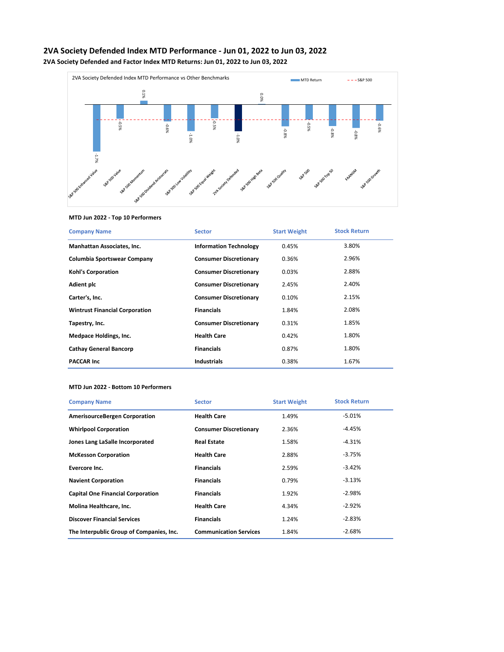



## **MTD Jun 2022 - Top 10 Performers**

| <b>Company Name</b>                   | <b>Sector</b>                 | <b>Start Weight</b> | <b>Stock Return</b> |
|---------------------------------------|-------------------------------|---------------------|---------------------|
| Manhattan Associates, Inc.            | <b>Information Technology</b> | 0.45%               | 3.80%               |
| Columbia Sportswear Company           | <b>Consumer Discretionary</b> | 0.36%               | 2.96%               |
| <b>Kohl's Corporation</b>             | <b>Consumer Discretionary</b> | 0.03%               | 2.88%               |
| <b>Adient plc</b>                     | <b>Consumer Discretionary</b> | 2.45%               | 2.40%               |
| Carter's, Inc.                        | <b>Consumer Discretionary</b> | 0.10%               | 2.15%               |
| <b>Wintrust Financial Corporation</b> | <b>Financials</b>             | 1.84%               | 2.08%               |
| Tapestry, Inc.                        | <b>Consumer Discretionary</b> | 0.31%               | 1.85%               |
| <b>Medpace Holdings, Inc.</b>         | <b>Health Care</b>            | 0.42%               | 1.80%               |
| <b>Cathay General Bancorp</b>         | <b>Financials</b>             | 0.87%               | 1.80%               |
| <b>PACCAR Inc.</b>                    | <b>Industrials</b>            | 0.38%               | 1.67%               |

#### **MTD Jun 2022 - Bottom 10 Performers**

| <b>Company Name</b>                      | <b>Sector</b>                 | <b>Start Weight</b> | <b>Stock Return</b> |
|------------------------------------------|-------------------------------|---------------------|---------------------|
| <b>AmerisourceBergen Corporation</b>     | <b>Health Care</b>            | 1.49%               | $-5.01%$            |
| <b>Whirlpool Corporation</b>             | <b>Consumer Discretionary</b> | 2.36%               | $-4.45%$            |
| Jones Lang LaSalle Incorporated          | <b>Real Estate</b>            | 1.58%               | $-4.31%$            |
| <b>McKesson Corporation</b>              | <b>Health Care</b>            | 2.88%               | $-3.75%$            |
| <b>Evercore Inc.</b>                     | <b>Financials</b>             | 2.59%               | $-3.42%$            |
| <b>Navient Corporation</b>               | <b>Financials</b>             | 0.79%               | $-3.13%$            |
| <b>Capital One Financial Corporation</b> | <b>Financials</b>             | 1.92%               | -2.98%              |
| Molina Healthcare, Inc.                  | <b>Health Care</b>            | 4.34%               | $-2.92%$            |
| <b>Discover Financial Services</b>       | <b>Financials</b>             | 1.24%               | $-2.83%$            |
| The Interpublic Group of Companies, Inc. | <b>Communication Services</b> | 1.84%               | $-2.68%$            |